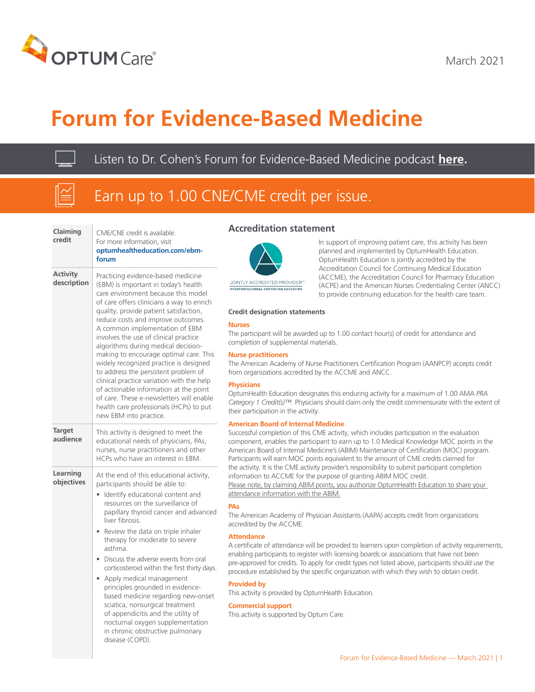

March 2021

# **Forum for Evidence-Based Medicine**

Listen to Dr. Cohen's Forum for Evidence-Based Medicine podcast **[here.](https://uhg.video.uhc.com/media/POD_FEBM_March_2021-03-03/1_9ww7akh1)**

**Contract Contract** 

# Earn up to 1.00 CNE/CME credit per issue.

| Claiming<br>credit             | CME/CNE credit is available.<br>For more information, visit<br>optumhealtheducation.com/ebm-<br>forum                                                                                                                                                                                                                                                                                                                                                                                                                                                                                                                                                                                                |  |  |
|--------------------------------|------------------------------------------------------------------------------------------------------------------------------------------------------------------------------------------------------------------------------------------------------------------------------------------------------------------------------------------------------------------------------------------------------------------------------------------------------------------------------------------------------------------------------------------------------------------------------------------------------------------------------------------------------------------------------------------------------|--|--|
| <b>Activity</b><br>description | Practicing evidence-based medicine<br>(EBM) is important in today's health<br>care environment because this model<br>of care offers clinicians a way to enrich<br>quality, provide patient satisfaction,<br>reduce costs and improve outcomes.<br>A common implementation of EBM<br>involves the use of clinical practice<br>algorithms during medical decision-<br>making to encourage optimal care. This<br>widely recognized practice is designed<br>to address the persistent problem of<br>clinical practice variation with the help<br>of actionable information at the point<br>of care. These e-newsletters will enable<br>health care professionals (HCPs) to put<br>new EBM into practice. |  |  |
| <b>Target</b><br>audience      | This activity is designed to meet the<br>educational needs of physicians, PAs,<br>nurses, nurse practitioners and other<br>HCPs who have an interest in EBM.                                                                                                                                                                                                                                                                                                                                                                                                                                                                                                                                         |  |  |
| Learning<br>objectives         | At the end of this educational activity,<br>participants should be able to:<br>Identify educational content and<br>resources on the surveillance of<br>papillary thyroid cancer and advanced<br>liver fibrosis.<br>Review the data on triple inhaler<br>therapy for moderate to severe<br>asthma.<br>Discuss the adverse events from oral<br>corticosteroid within the first thirty days.<br>Apply medical management<br>principles grounded in evidence-<br>based medicine regarding new-onset<br>sciatica, nonsurgical treatment<br>of appendicitis and the utility of<br>nocturnal oxygen supplementation<br>in chronic obstructive pulmonary<br>disease (COPD).                                  |  |  |

### **Accreditation statement**



In support of improving patient care, this activity has been planned and implemented by OptumHealth Education. OptumHealth Education is jointly accredited by the Accreditation Council for Continuing Medical Education (ACCME), the Accreditation Council for Pharmacy Education (ACPE) and the American Nurses Credentialing Center (ANCC) to provide continuing education for the health care team.

### **Credit designation statements**

### **Nurses**

The participant will be awarded up to 1.00 contact hour(s) of credit for attendance and completion of supplemental materials.

### **Nurse practitioners**

The American Academy of Nurse Practitioners Certification Program (AANPCP) accepts credit from organizations accredited by the ACCME and ANCC.

### **Physicians**

OptumHealth Education designates this enduring activity for a maximum of 1.00 AMA *PRA Category 1 Credit(s)™.* Physicians should claim only the credit commensurate with the extent of their participation in the activity.

### **American Board of Internal Medicine**

attendance information with the ABIM.

Successful completion of this CME activity, which includes participation in the evaluation component, enables the participant to earn up to 1.0 Medical Knowledge MOC points in the American Board of Internal Medicine's (ABIM) Maintenance of Certification (MOC) program. Participants will earn MOC points equivalent to the amount of CME credits claimed for the activity. It is the CME activity provider's responsibility to submit participant completion information to ACCME for the purpose of granting ABIM MOC credit. Please note, by claiming ABIM points, you authorize OptumHealth Education to share your

**PAs**

The American Academy of Physician Assistants (AAPA) accepts credit from organizations accredited by the ACCME.

### **Attendance**

A certificate of attendance will be provided to learners upon completion of activity requirements, enabling participants to register with licensing boards or associations that have not been pre-approved for credits. To apply for credit types not listed above, participants should use the procedure established by the specific organization with which they wish to obtain credit.

### **Provided by**

This activity is provided by OptumHealth Education.

### **Commercial support**

This activity is supported by Optum Care.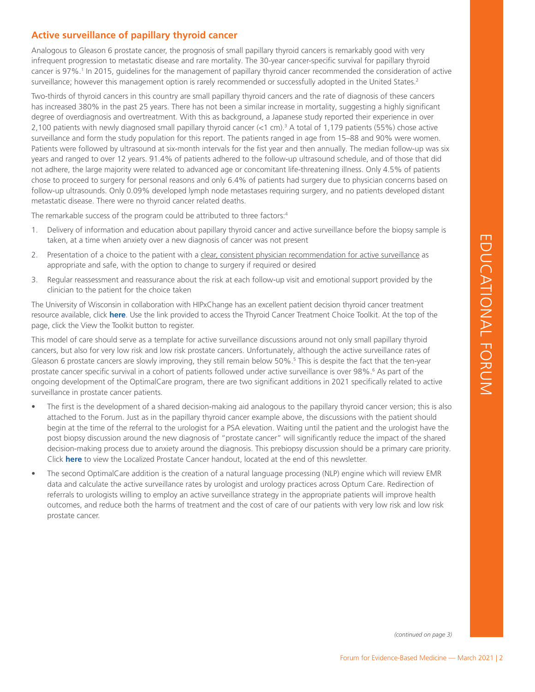# EDUCATIONAL FORUM EDUCATIONAL FORUM

### **Active surveillance of papillary thyroid cancer**

Analogous to Gleason 6 prostate cancer, the prognosis of small papillary thyroid cancers is remarkably good with very infrequent progression to metastatic disease and rare mortality. The 30-year cancer-specific survival for papillary thyroid cancer is 97%.<sup>1</sup> In 2015, guidelines for the management of papillary thyroid cancer recommended the consideration of active surveillance; however this management option is rarely recommended or successfully adopted in the United States.<sup>2</sup>

Two-thirds of thyroid cancers in this country are small papillary thyroid cancers and the rate of diagnosis of these cancers has increased 380% in the past 25 years. There has not been a similar increase in mortality, suggesting a highly significant degree of overdiagnosis and overtreatment. With this as background, a Japanese study reported their experience in over 2,100 patients with newly diagnosed small papillary thyroid cancer (<1 cm).3 A total of 1,179 patients (55%) chose active surveillance and form the study population for this report. The patients ranged in age from 15–88 and 90% were women. Patients were followed by ultrasound at six-month intervals for the fist year and then annually. The median follow-up was six years and ranged to over 12 years. 91.4% of patients adhered to the follow-up ultrasound schedule, and of those that did not adhere, the large majority were related to advanced age or concomitant life-threatening illness. Only 4.5% of patients chose to proceed to surgery for personal reasons and only 6.4% of patients had surgery due to physician concerns based on follow-up ultrasounds. Only 0.09% developed lymph node metastases requiring surgery, and no patients developed distant metastatic disease. There were no thyroid cancer related deaths.

The remarkable success of the program could be attributed to three factors:<sup>4</sup>

- 1. Delivery of information and education about papillary thyroid cancer and active surveillance before the biopsy sample is taken, at a time when anxiety over a new diagnosis of cancer was not present
- 2. Presentation of a choice to the patient with a clear, consistent physician recommendation for active surveillance as appropriate and safe, with the option to change to surgery if required or desired
- 3. Regular reassessment and reassurance about the risk at each follow-up visit and emotional support provided by the clinician to the patient for the choice taken

The University of Wisconsin in collaboration with HIPxChange has an excellent patient decision thyroid cancer treatment resource available, click **[here](http://hipxchange.org/ThyroidCancerTreatmentChoice)**. Use the link provided to access the Thyroid Cancer Treatment Choice Toolkit. At the top of the page, click the View the Toolkit button to register.

This model of care should serve as a template for active surveillance discussions around not only small papillary thyroid cancers, but also for very low risk and low risk prostate cancers. Unfortunately, although the active surveillance rates of Gleason 6 prostate cancers are slowly improving, they still remain below 50%.5 This is despite the fact that the ten-year prostate cancer specific survival in a cohort of patients followed under active surveillance is over 98%.<sup>6</sup> As part of the ongoing development of the OptimalCare program, there are two significant additions in 2021 specifically related to active surveillance in prostate cancer patients.

- The first is the development of a shared decision-making aid analogous to the papillary thyroid cancer version; this is also attached to the Forum. Just as in the papillary thyroid cancer example above, the discussions with the patient should begin at the time of the referral to the urologist for a PSA elevation. Waiting until the patient and the urologist have the post biopsy discussion around the new diagnosis of "prostate cancer" will significantly reduce the impact of the shared decision-making process due to anxiety around the diagnosis. This prebiopsy discussion should be a primary care priority. Click **here** [to view the Localized Prostate Cancer handout, located at the end of this newsletter.](#page-7-0)
- The second OptimalCare addition is the creation of a natural language processing (NLP) engine which will review EMR data and calculate the active surveillance rates by urologist and urology practices across Optum Care. Redirection of referrals to urologists willing to employ an active surveillance strategy in the appropriate patients will improve health outcomes, and reduce both the harms of treatment and the cost of care of our patients with very low risk and low risk prostate cancer.

*(continued on page 3)*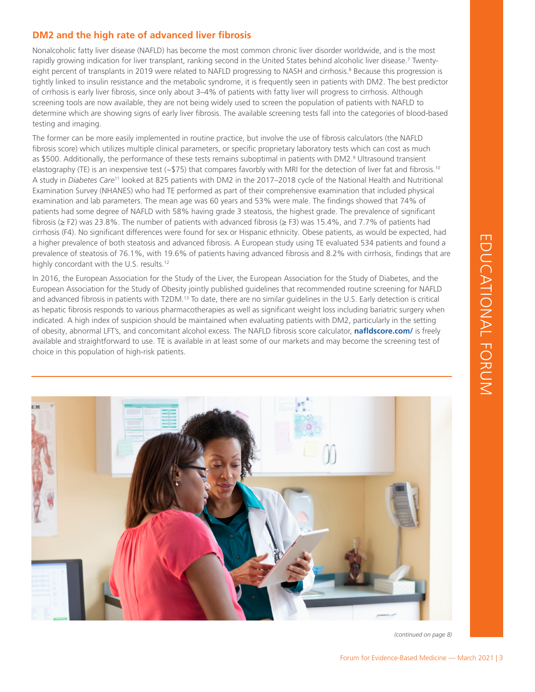### **DM2 and the high rate of advanced liver fibrosis**

Nonalcoholic fatty liver disease (NAFLD) has become the most common chronic liver disorder worldwide, and is the most rapidly growing indication for liver transplant, ranking second in the United States behind alcoholic liver disease.<sup>7</sup> Twentyeight percent of transplants in 2019 were related to NAFLD progressing to NASH and cirrhosis.<sup>8</sup> Because this progression is tightly linked to insulin resistance and the metabolic syndrome, it is frequently seen in patients with DM2. The best predictor of cirrhosis is early liver fibrosis, since only about 3–4% of patients with fatty liver will progress to cirrhosis. Although screening tools are now available, they are not being widely used to screen the population of patients with NAFLD to determine which are showing signs of early liver fibrosis. The available screening tests fall into the categories of blood-based testing and imaging.

The former can be more easily implemented in routine practice, but involve the use of fibrosis calculators (the NAFLD fibrosis score) which utilizes multiple clinical parameters, or specific proprietary laboratory tests which can cost as much as \$500. Additionally, the performance of these tests remains suboptimal in patients with DM2.<sup>9</sup> Ultrasound transient elastography (TE) is an inexpensive test ( $\sim$ \$75) that compares favorbly with MRI for the detection of liver fat and fibrosis.<sup>10</sup> A study in *Diabetes Care*11 looked at 825 patients with DM2 in the 2017–2018 cycle of the National Health and Nutritional Examination Survey (NHANES) who had TE performed as part of their comprehensive examination that included physical examination and lab parameters. The mean age was 60 years and 53% were male. The findings showed that 74% of patients had some degree of NAFLD with 58% having grade 3 steatosis, the highest grade. The prevalence of significant fibrosis (≥ F2) was 23.8%. The number of patients with advanced fibrosis (≥ F3) was 15.4%, and 7.7% of patients had cirrhosis (F4). No significant differences were found for sex or Hispanic ethnicity. Obese patients, as would be expected, had a higher prevalence of both steatosis and advanced fibrosis. A European study using TE evaluated 534 patients and found a prevalence of steatosis of 76.1%, with 19.6% of patients having advanced fibrosis and 8.2% with cirrhosis, findings that are highly concordant with the U.S. results.<sup>12</sup>

In 2016, the European Association for the Study of the Liver, the European Association for the Study of Diabetes, and the European Association for the Study of Obesity jointly published guidelines that recommended routine screening for NAFLD and advanced fibrosis in patients with T2DM.<sup>13</sup> To date, there are no similar quidelines in the U.S. Early detection is critical as hepatic fibrosis responds to various pharmacotherapies as well as significant weight loss including bariatric surgery when indicated. A high index of suspicion should be maintained when evaluating patients with DM2, particularly in the setting of obesity, abnormal LFT's, and concomitant alcohol excess. The NAFLD fibrosis score calculator, **[nafldscore.com](http://nafldscore.com/)/** is freely available and straightforward to use. TE is available in at least some of our markets and may become the screening test of choice in this population of high-risk patients.



*(continued on page 8)*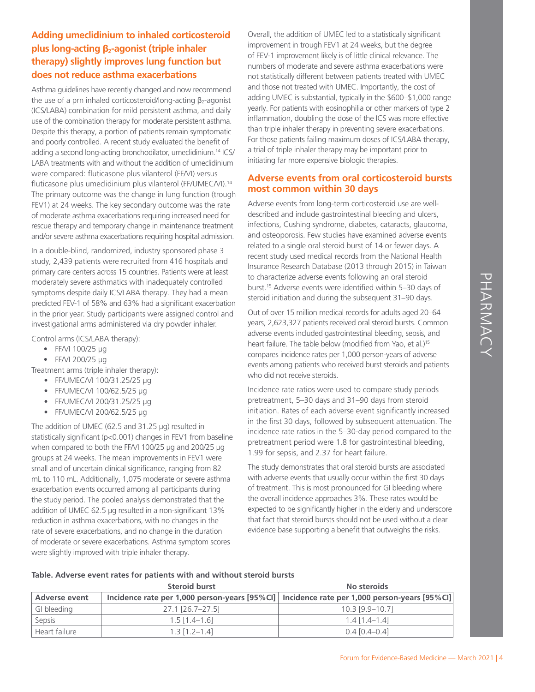### **Adding umeclidinium to inhaled corticosteroid plus long-acting β2-agonist (triple inhaler therapy) slightly improves lung function but does not reduce asthma exacerbations**

Asthma guidelines have recently changed and now recommend the use of a prn inhaled corticosteroid/long-acting  $\beta_2$ -agonist (ICS/LABA) combination for mild persistent asthma, and daily use of the combination therapy for moderate persistent asthma. Despite this therapy, a portion of patients remain symptomatic and poorly controlled. A recent study evaluated the benefit of adding a second long-acting bronchodilator, umeclidinium.14 ICS/ LABA treatments with and without the addition of umeclidinium were compared: fluticasone plus vilanterol (FF/VI) versus fluticasone plus umeclidinium plus vilanterol (FF/UMEC/VI).<sup>14</sup> The primary outcome was the change in lung function (trough FEV1) at 24 weeks. The key secondary outcome was the rate of moderate asthma exacerbations requiring increased need for rescue therapy and temporary change in maintenance treatment and/or severe asthma exacerbations requiring hospital admission.

In a double-blind, randomized, industry sponsored phase 3 study, 2,439 patients were recruited from 416 hospitals and primary care centers across 15 countries. Patients were at least moderately severe asthmatics with inadequately controlled symptoms despite daily ICS/LABA therapy. They had a mean predicted FEV-1 of 58% and 63% had a significant exacerbation in the prior year. Study participants were assigned control and investigational arms administered via dry powder inhaler.

Control arms (ICS/LABA therapy):

- FF/VI 100/25 µg
- FF/VI 200/25 µg

Treatment arms (triple inhaler therapy):

- FF/UMEC/VI 100/31.25/25 µg
- FF/UMEC/VI 100/62.5/25 µg
- FF/UMEC/VI 200/31.25/25 µg
- FF/UMEC/VI 200/62.5/25 µg

The addition of UMEC (62.5 and 31.25 µg) resulted in statistically significant (p<0.001) changes in FEV1 from baseline when compared to both the FF/VI 100/25 µg and 200/25 µg groups at 24 weeks. The mean improvements in FEV1 were small and of uncertain clinical significance, ranging from 82 mL to 110 mL. Additionally, 1,075 moderate or severe asthma exacerbation events occurred among all participants during the study period. The pooled analysis demonstrated that the addition of UMEC 62.5 µg resulted in a non-significant 13% reduction in asthma exacerbations, with no changes in the rate of severe exacerbations, and no change in the duration of moderate or severe exacerbations. Asthma symptom scores were slightly improved with triple inhaler therapy.

Overall, the addition of UMEC led to a statistically significant improvement in trough FEV1 at 24 weeks, but the degree of FEV-1 improvement likely is of little clinical relevance. The numbers of moderate and severe asthma exacerbations were not statistically different between patients treated with UMEC and those not treated with UMEC. Importantly, the cost of adding UMEC is substantial, typically in the \$600–\$1,000 range yearly. For patients with eosinophilia or other markers of type 2 inflammation, doubling the dose of the ICS was more effective than triple inhaler therapy in preventing severe exacerbations. For those patients failing maximum doses of ICS/LABA therapy, a trial of triple inhaler therapy may be important prior to initiating far more expensive biologic therapies.

### **Adverse events from oral corticosteroid bursts most common within 30 days**

Adverse events from long-term corticosteroid use are welldescribed and include gastrointestinal bleeding and ulcers, infections, Cushing syndrome, diabetes, cataracts, glaucoma, and osteoporosis. Few studies have examined adverse events related to a single oral steroid burst of 14 or fewer days. A recent study used medical records from the National Health Insurance Research Database (2013 through 2015) in Taiwan to characterize adverse events following an oral steroid burst.15 Adverse events were identified within 5–30 days of steroid initiation and during the subsequent 31–90 days.

Out of over 15 million medical records for adults aged 20–64 years, 2,623,327 patients received oral steroid bursts. Common adverse events included gastrointestinal bleeding, sepsis, and heart failure. The table below (modified from Yao, et al.)<sup>15</sup> compares incidence rates per 1,000 person-years of adverse events among patients who received burst steroids and patients who did not receive steroids.

Incidence rate ratios were used to compare study periods pretreatment, 5–30 days and 31–90 days from steroid initiation. Rates of each adverse event significantly increased in the first 30 days, followed by subsequent attenuation. The incidence rate ratios in the 5–30-day period compared to the pretreatment period were 1.8 for gastrointestinal bleeding, 1.99 for sepsis, and 2.37 for heart failure.

The study demonstrates that oral steroid bursts are associated with adverse events that usually occur within the first 30 days of treatment. This is most pronounced for GI bleeding where the overall incidence approaches 3%. These rates would be expected to be significantly higher in the elderly and underscore that fact that steroid bursts should not be used without a clear evidence base supporting a benefit that outweighs the risks.

### **Table. Adverse event rates for patients with and without steroid bursts**

|                      | Steroid burst            | No steroids                                                                                   |
|----------------------|--------------------------|-----------------------------------------------------------------------------------------------|
| <b>Adverse event</b> |                          | Incidence rate per 1,000 person-years [95%CI]   Incidence rate per 1,000 person-years [95%CI] |
| GI bleeding          | $27.1$ [ $26.7 - 27.5$ ] | $10.3$ [9.9-10.7]                                                                             |
| Sepsis               | $1.5$ [1.4–1.6]          | $1.4$ [1.4–1.4]                                                                               |
| Heart failure        | $1.3$ [1.2-1.4]          | $0.4$ [0.4–0.4]                                                                               |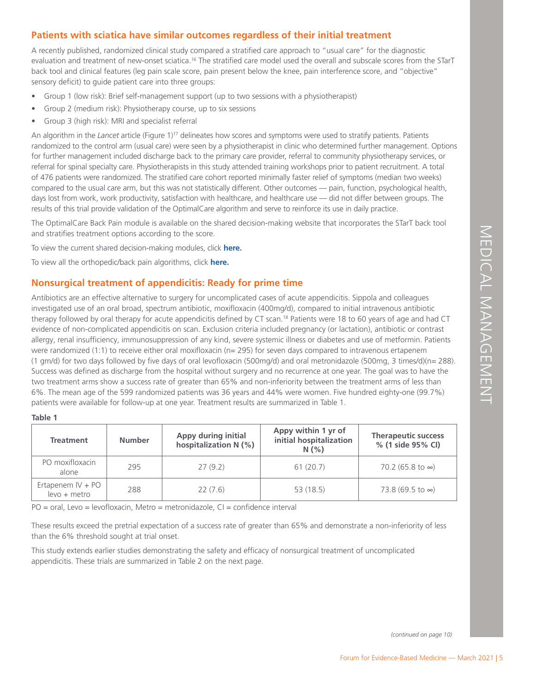### **Patients with sciatica have similar outcomes regardless of their initial treatment**

A recently published, randomized clinical study compared a stratified care approach to "usual care" for the diagnostic evaluation and treatment of new-onset sciatica.<sup>16</sup> The stratified care model used the overall and subscale scores from the STarT back tool and clinical features (leg pain scale score, pain present below the knee, pain interference score, and "objective" sensory deficit) to guide patient care into three groups:

- Group 1 (low risk): Brief self-management support (up to two sessions with a physiotherapist)
- Group 2 (medium risk): Physiotherapy course, up to six sessions
- Group 3 (high risk): MRI and specialist referral

An algorithm in the *Lancet* article (Figure 1)<sup>17</sup> delineates how scores and symptoms were used to stratify patients. Patients randomized to the control arm (usual care) were seen by a physiotherapist in clinic who determined further management. Options for further management included discharge back to the primary care provider, referral to community physiotherapy services, or referral for spinal specialty care. Physiotherapists in this study attended training workshops prior to patient recruitment. A total of 476 patients were randomized. The stratified care cohort reported minimally faster relief of symptoms (median two weeks) compared to the usual care arm, but this was not statistically different. Other outcomes — pain, function, psychological health, days lost from work, work productivity, satisfaction with healthcare, and healthcare use — did not differ between groups. The results of this trial provide validation of the OptimalCare algorithm and serve to reinforce its use in daily practice.

The OptimalCare Back Pain module is available on the shared decision-making website that incorporates the STarT back tool and stratifies treatment options according to the score.

To view the current shared decision-making modules, [click](http://apps-stg.optumcare.com/sdm/#/sdm/questionnaire) **here.**

To view all the orthopedic/back pain algorithms, click **[here.](https://helloignite.io/event/optimalCareMarketingMaterials/static/Overview)**

### **Nonsurgical treatment of appendicitis: Ready for prime time**

tis. Sippola and colleagues<br>
initial intravenous antibiotic<br>
8 to 60 years of age and had CT<br>
actation), antibiotic or contrast<br>
Es and use of methormin. Patients<br>
to intravenous etrapenem<br>
tazole (500mg, 3 times/d)(n= 28 Antibiotics are an effective alternative to surgery for uncomplicated cases of acute appendicitis. Sippola and colleagues investigated use of an oral broad, spectrum antibiotic, moxifloxacin (400mg/d), compared to initial intravenous antibiotic therapy followed by oral therapy for acute appendicitis defined by CT scan.<sup>18</sup> Patients were 18 to 60 years of age and had CT evidence of non-complicated appendicitis on scan. Exclusion criteria included pregnancy (or lactation), antibiotic or contrast allergy, renal insufficiency, immunosuppression of any kind, severe systemic illness or diabetes and use of metformin. Patients were randomized (1:1) to receive either oral moxifloxacin (n= 295) for seven days compared to intravenous ertapenem (1 gm/d) for two days followed by five days of oral levofloxacin (500mg/d) and oral metronidazole (500mg, 3 times/d)(n= 288). Success was defined as discharge from the hospital without surgery and no recurrence at one year. The goal was to have the two treatment arms show a success rate of greater than 65% and non-inferiority between the treatment arms of less than 6%. The mean age of the 599 randomized patients was 36 years and 44% were women. Five hundred eighty-one (99.7%) patients were available for follow-up at one year. Treatment results are summarized in Table 1.

| $\sim$ |  |
|--------|--|
|--------|--|

| <b>Treatment</b>                    | <b>Number</b> | Appy during initial<br>hospitalization N (%) | Appy within 1 yr of<br>initial hospitalization<br>N(% ) | <b>Therapeutic success</b><br>% (1 side 95% CI) |
|-------------------------------------|---------------|----------------------------------------------|---------------------------------------------------------|-------------------------------------------------|
| PO moxifloxacin<br>alone            | 295           | 27(9.2)                                      | 61(20.7)                                                | 70.2 (65.8 to $\infty$ )                        |
| Ertapenem $IV + PO$<br>levo + metro | 288           | 22(7.6)                                      | 53 (18.5)                                               | 73.8 (69.5 to ∞)                                |

 $PO = oral$ , Levo = levofloxacin, Metro = metronidazole,  $CI = confidence$  interval

These results exceed the pretrial expectation of a success rate of greater than 65% and demonstrate a non-inferiority of less than the 6% threshold sought at trial onset.

This study extends earlier studies demonstrating the safety and efficacy of nonsurgical treatment of uncomplicated appendicitis. These trials are summarized in Table 2 on the next page.

*(continued on page 10)*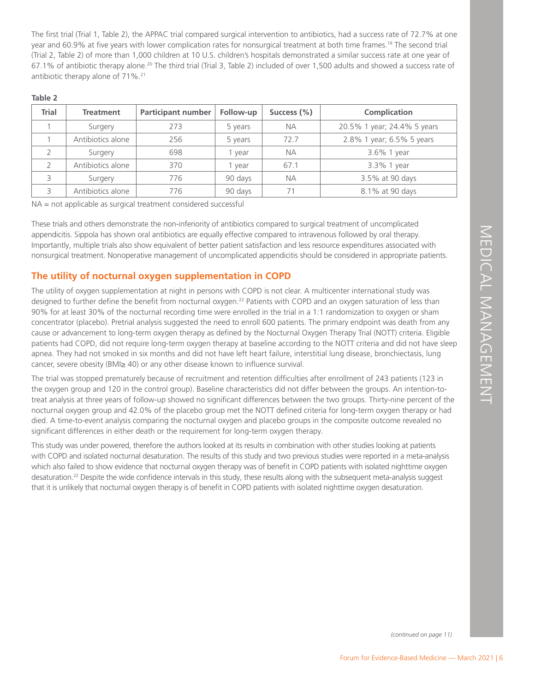The first trial (Trial 1, Table 2), the APPAC trial compared surgical intervention to antibiotics, had a success rate of 72.7% at one year and 60.9% at five years with lower complication rates for nonsurgical treatment at both time frames.<sup>19</sup> The second trial (Trial 2, Table 2) of more than 1,000 children at 10 U.S. children's hospitals demonstrated a similar success rate at one year of 67.1% of antibiotic therapy alone.20 The third trial (Trial 3, Table 2) included of over 1,500 adults and showed a success rate of antibiotic therapy alone of 71%.21

| <b>Trial</b> | <b>Treatment</b>  | <b>Participant number</b> | Follow-up | Success (%) | Complication                |
|--------------|-------------------|---------------------------|-----------|-------------|-----------------------------|
|              | Surgery           | 273                       | 5 years   | <b>NA</b>   | 20.5% 1 year; 24.4% 5 years |
|              | Antibiotics alone | 256                       | 5 years   | 727         | 2.8% 1 year; 6.5% 5 years   |
|              | Surgery           | 698                       | vear      | <b>NA</b>   | 3.6% 1 year                 |
|              | Antibiotics alone | 370                       | vear      | 67.1        | 3.3% 1 year                 |
|              | Surgery           | 776                       | 90 days   | <b>NA</b>   | 3.5% at 90 days             |
|              | Antibiotics alone | 776                       | 90 days   |             | 8.1% at 90 days             |

### **Table 2**

NA = not applicable as surgical treatment considered successful

These trials and others demonstrate the non-inferiority of antibiotics compared to surgical treatment of uncomplicated appendicitis. Sippola has shown oral antibiotics are equally effective compared to intravenous followed by oral therapy. Importantly, multiple trials also show equivalent of better patient satisfaction and less resource expenditures associated with nonsurgical treatment. Nonoperative management of uncomplicated appendicitis should be considered in appropriate patients.

### **The utility of nocturnal oxygen supplementation in COPD**

Forum for Evidence-Based Medicine — March 2021 | 6<br>
Forum for Evidence-Based Medicine — March 2021 | 6<br>
Forum Forum Forum for External Management Property Trial (NOTT) criteria. Eligible<br>
OTT criteria and did not have sle The utility of oxygen supplementation at night in persons with COPD is not clear. A multicenter international study was designed to further define the benefit from nocturnal oxygen.<sup>22</sup> Patients with COPD and an oxygen saturation of less than 90% for at least 30% of the nocturnal recording time were enrolled in the trial in a 1:1 randomization to oxygen or sham concentrator (placebo). Pretrial analysis suggested the need to enroll 600 patients. The primary endpoint was death from any cause or advancement to long-term oxygen therapy as defined by the Nocturnal Oxygen Therapy Trial (NOTT) criteria. Eligible patients had COPD, did not require long-term oxygen therapy at baseline according to the NOTT criteria and did not have sleep apnea. They had not smoked in six months and did not have left heart failure, interstitial lung disease, bronchiectasis, lung cancer, severe obesity (BMI≥ 40) or any other disease known to influence survival.

The trial was stopped prematurely because of recruitment and retention difficulties after enrollment of 243 patients (123 in the oxygen group and 120 in the control group). Baseline characteristics did not differ between the groups. An intention-totreat analysis at three years of follow-up showed no significant differences between the two groups. Thirty-nine percent of the nocturnal oxygen group and 42.0% of the placebo group met the NOTT defined criteria for long-term oxygen therapy or had died. A time-to-event analysis comparing the nocturnal oxygen and placebo groups in the composite outcome revealed no significant differences in either death or the requirement for long-term oxygen therapy.

This study was under powered, therefore the authors looked at its results in combination with other studies looking at patients with COPD and isolated nocturnal desaturation. The results of this study and two previous studies were reported in a meta-analysis which also failed to show evidence that nocturnal oxygen therapy was of benefit in COPD patients with isolated nighttime oxygen desaturation.<sup>22</sup> Despite the wide confidence intervals in this study, these results along with the subsequent meta-analysis suggest that it is unlikely that nocturnal oxygen therapy is of benefit in COPD patients with isolated nighttime oxygen desaturation.

*(continued on page 11)*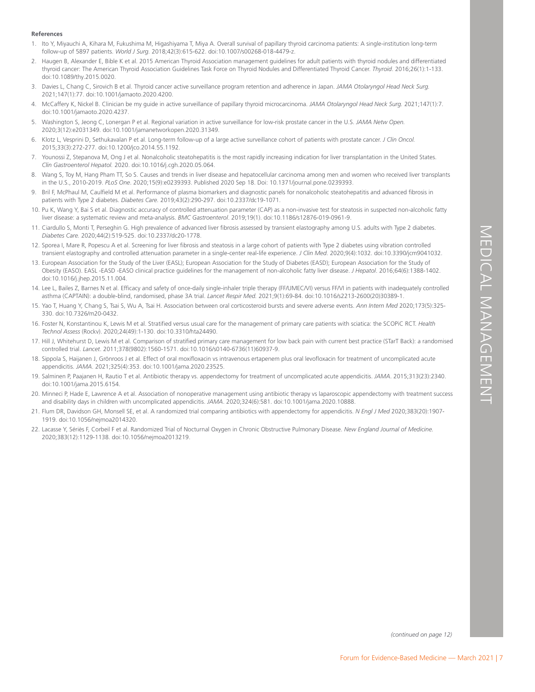# ong U.S. adults with type 2 diabetes.<br>
diabetes using vibration controlled<br>
0:9(4):1032. do:10.3390/pm9041032.<br>
Opean Association for the Study of<br>
M in patients with indequately controlled<br>
2213-2600(20)30389-1.<br>
with sca

### **References**

- 1. Ito Y, Miyauchi A, Kihara M, Fukushima M, Higashiyama T, Miya A. Overall survival of papillary thyroid carcinoma patients: A single-institution long-term follow-up of 5897 patients. *World J Surg.* 2018;42(3):615-622. doi:10.1007/s00268-018-4479-z.
- 2. Haugen B, Alexander E, Bible K et al. 2015 American Thyroid Association management guidelines for adult patients with thyroid nodules and differentiated thyroid cancer: The American Thyroid Association Guidelines Task Force on Thyroid Nodules and Differentiated Thyroid Cancer. *Thyroid*. 2016;26(1):1-133. doi:10.1089/thy.2015.0020.
- 3. Davies L, Chang C, Sirovich B et al. Thyroid cancer active surveillance program retention and adherence in Japan. *JAMA Otolaryngol Head Neck Surg.*  2021;147(1):77. doi:10.1001/jamaoto.2020.4200.
- 4. McCaffery K, Nickel B. Clinician be my guide in active surveillance of papillary thyroid microcarcinoma. *JAMA Otolaryngol Head Neck Surg.* 2021;147(1):7. doi:10.1001/jamaoto.2020.4237.
- 5. Washington S, Jeong C, Lonergan P et al. Regional variation in active surveillance for low-risk prostate cancer in the U.S. *JAMA Netw Open.* 2020;3(12):e2031349. doi:10.1001/jamanetworkopen.2020.31349.
- 6. Klotz L, Vesprini D, Sethukavalan P et al. Long-term follow-up of a large active surveillance cohort of patients with prostate cancer. *J Clin Oncol.* 2015;33(3):272-277. doi:10.1200/jco.2014.55.1192.
- 7. Younossi Z, Stepanova M, Ong J et al. Nonalcoholic steatohepatitis is the most rapidly increasing indication for liver transplantation in the United States. *Clin Gastroenterol Hepatol.* 2020. doi:10.1016/j.cgh.2020.05.064.
- 8. Wang S, Toy M, Hang Pham TT, So S. Causes and trends in liver disease and hepatocellular carcinoma among men and women who received liver transplants in the U.S., 2010-2019. *PLoS One*. 2020;15(9):e0239393. Published 2020 Sep 18. Doi: 10.1371/journal.pone.0239393.
- 9. Bril F, McPhaul M, Caulfield M et al. Performance of plasma biomarkers and diagnostic panels for nonalcoholic steatohepatitis and advanced fibrosis in patients with Type 2 diabetes. *Diabetes Care.* 2019;43(2):290-297. doi:10.2337/dc19-1071.
- 10. Pu K, Wang Y, Bai S et al. Diagnostic accuracy of controlled attenuation parameter (CAP) as a non-invasive test for steatosis in suspected non-alcoholic fatty liver disease: a systematic review and meta-analysis. *BMC Gastroenterol*. 2019;19(1). doi:10.1186/s12876-019-0961-9.
- 11. Ciardullo S, Monti T, Perseghin G. High prevalence of advanced liver fibrosis assessed by transient elastography among U.S. adults with Type 2 diabetes. *Diabetes Care.* 2020;44(2):519-525. doi:10.2337/dc20-1778.
- 12. Sporea I, Mare R, Popescu A et al. Screening for liver fibrosis and steatosis in a large cohort of patients with Type 2 diabetes using vibration controlled transient elastography and controlled attenuation parameter in a single-center real-life experience. *J Clin Med*. 2020;9(4):1032. doi:10.3390/jcm9041032.
- 13. European Association for the Study of the Liver (EASL); European Association for the Study of Diabetes (EASD); European Association for the Study of Obesity (EASO). EASL -EASD -EASO clinical practice guidelines for the management of non-alcoholic fatty liver disease. *J Hepatol*. 2016;64(6):1388-1402. doi:10.1016/j.jhep.2015.11.004.
- 14. Lee L, Bailes Z, Barnes N et al. Efficacy and safety of once-daily single-inhaler triple therapy (FF/UMEC/VI) versus FF/VI in patients with inadequately controlled asthma (CAPTAIN): a double-blind, randomised, phase 3A trial. *Lancet Respir Med.* 2021;9(1):69-84. doi:10.1016/s2213-2600(20)30389-1.
- 15. Yao T, Huang Y, Chang S, Tsai S, Wu A, Tsai H. Association between oral corticosteroid bursts and severe adverse events. *Ann Intern Med* 2020;173(5):325- 330. doi:10.7326/m20-0432.
- 16. Foster N, Konstantinou K, Lewis M et al. Stratified versus usual care for the management of primary care patients with sciatica: the SCOPiC RCT. *Health Technol Assess* (Rockv). 2020;24(49):1-130. doi:10.3310/hta24490.
- 17. Hill J, Whitehurst D, Lewis M et al. Comparison of stratified primary care management for low back pain with current best practice (STarT Back): a randomised controlled trial. *Lancet*. 2011;378(9802):1560-1571. doi:10.1016/s0140-6736(11)60937-9.
- 18. Sippola S, Haijanen J, Grönroos J et al. Effect of oral moxifloxacin vs intravenous ertapenem plus oral levofloxacin for treatment of uncomplicated acute appendicitis. *JAMA*. 2021;325(4):353. doi:10.1001/jama.2020.23525.
- 19. Salminen P, Paajanen H, Rautio T et al. Antibiotic therapy vs. appendectomy for treatment of uncomplicated acute appendicitis. *JAMA*. 2015;313(23):2340. doi:10.1001/jama.2015.6154.
- 20. Minneci P, Hade E, Lawrence A et al. Association of nonoperative management using antibiotic therapy vs laparoscopic appendectomy with treatment success and disability days in children with uncomplicated appendicitis. *JAMA*. 2020;324(6):581. doi:10.1001/jama.2020.10888.
- 21. Flum DR, Davidson GH, Monsell SE, et al. A randomized trial comparing antibiotics with appendectomy for appendicitis. *N Engl J Med* 2020;383(20):1907- 1919. doi:10.1056/nejmoa2014320.
- 22. Lacasse Y, Sériès F, Corbeil F et al. Randomized Trial of Nocturnal Oxygen in Chronic Obstructive Pulmonary Disease. *New England Journal of Medicine.*  2020;383(12):1129-1138. doi:10.1056/nejmoa2013219.

*(continued on page 12)*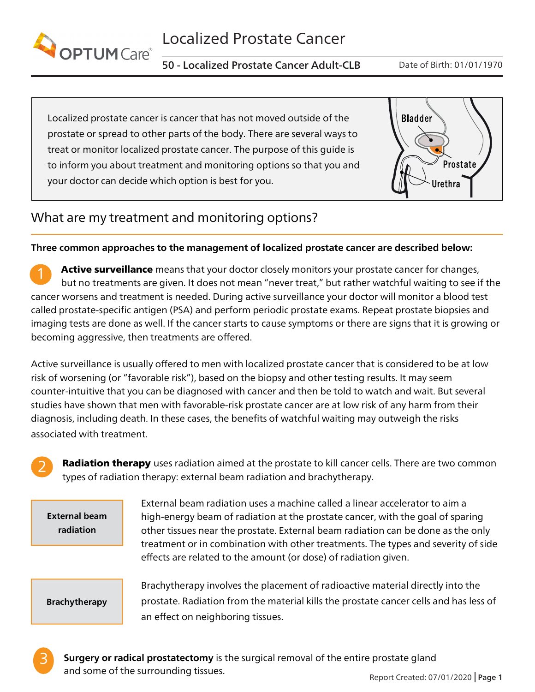<span id="page-7-0"></span>

50 - Localized Prostate Cancer Adult-CLB Date of Birth: 01/01/1970

Localized prostate cancer is cancer that has not moved outside of the prostate or spread to other parts of the body. There are several ways to treat or monitor localized prostate cancer. The purpose of this guide is to inform you about treatment and monitoring options so that you and your doctor can decide which option is best for you.



# What are my treatment and monitoring options?

### Three common approaches to the management of localized prostate cancer are described below:

Active surveillance means that your doctor closely monitors your prostate cancer for changes, but no treatments are given. It does not mean "never treat," but rather watchful waiting to see if the cancer worsens and treatment is needed. During active surveillance your doctor will monitor a blood test called prostate-specific antigen (PSA) and perform periodic prostate exams. Repeat prostate biopsies and imaging tests are done as well. If the cancer starts to cause symptoms or there are signs that it is growing or becoming aggressive, then treatments are offered.

Active surveillance is usually offered to men with localized prostate cancer that is considered to be at low risk of worsening (or "favorable risk"), based on the biopsy and other testing results. It may seem counter-intuitive that you can be diagnosed with cancer and then be told to watch and wait. But several studies have shown that men with favorable-risk prostate cancer are at low risk of any harm from their diagnosis, including death. In these cases, the benefits of watchful waiting may outweigh the risks associated with treatment.

**Radiation therapy** uses radiation aimed at the prostate to kill cancer cells. There are two common types of radiation therapy: external beam radiation and brachytherapy.

External beam radiation

External beam radiation uses a machine called a linear accelerator to aim a high-energy beam of radiation at the prostate cancer, with the goal of sparing other tissues near the prostate. External beam radiation can be done as the only treatment or in combination with other treatments. The types and severity of side effects are related to the amount (or dose) of radiation given.

Brachytherapy

Brachytherapy involves the placement of radioactive material directly into the prostate. Radiation from the material kills the prostate cancer cells and has less of an effect on neighboring tissues.



2

**Surgery or radical prostatectomy** is the surgical removal of the entire prostate gland and some of the surrounding tissues.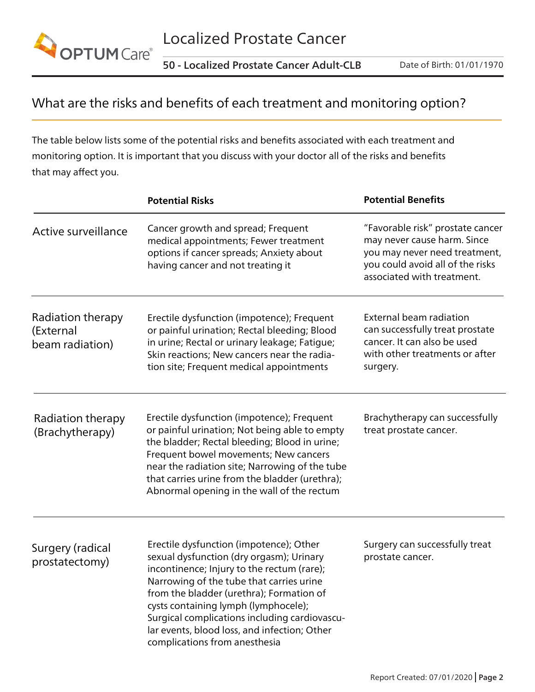

50 - Localized Prostate Cancer Adult-CLB Date of Birth: 01/01/1970

# What are the risks and benefits of each treatment and monitoring option?

The table below lists some of the potential risks and benefits associated with each treatment and monitoring option. It is important that you discuss with your doctor all of the risks and benefits that may affect you.

|                                                                                                                                                                                                                                                                                                                                                                                                                                           | <b>Potential Risks</b>                                                                                                                                                                                                                                                                                                                  | <b>Potential Benefits</b>                                                                                                                                          |  |
|-------------------------------------------------------------------------------------------------------------------------------------------------------------------------------------------------------------------------------------------------------------------------------------------------------------------------------------------------------------------------------------------------------------------------------------------|-----------------------------------------------------------------------------------------------------------------------------------------------------------------------------------------------------------------------------------------------------------------------------------------------------------------------------------------|--------------------------------------------------------------------------------------------------------------------------------------------------------------------|--|
| Active surveillance                                                                                                                                                                                                                                                                                                                                                                                                                       | Cancer growth and spread; Frequent<br>medical appointments; Fewer treatment<br>options if cancer spreads; Anxiety about<br>having cancer and not treating it                                                                                                                                                                            | "Favorable risk" prostate cancer<br>may never cause harm. Since<br>you may never need treatment,<br>you could avoid all of the risks<br>associated with treatment. |  |
| Radiation therapy<br>(External<br>beam radiation)                                                                                                                                                                                                                                                                                                                                                                                         | Erectile dysfunction (impotence); Frequent<br>or painful urination; Rectal bleeding; Blood<br>in urine; Rectal or urinary leakage; Fatigue;<br>Skin reactions; New cancers near the radia-<br>tion site; Frequent medical appointments                                                                                                  | External beam radiation<br>can successfully treat prostate<br>cancer. It can also be used<br>with other treatments or after<br>surgery.                            |  |
| Radiation therapy<br>(Brachytherapy)                                                                                                                                                                                                                                                                                                                                                                                                      | Erectile dysfunction (impotence); Frequent<br>or painful urination; Not being able to empty<br>the bladder; Rectal bleeding; Blood in urine;<br>Frequent bowel movements; New cancers<br>near the radiation site; Narrowing of the tube<br>that carries urine from the bladder (urethra);<br>Abnormal opening in the wall of the rectum | Brachytherapy can successfully<br>treat prostate cancer.                                                                                                           |  |
| Erectile dysfunction (impotence); Other<br>Surgery (radical<br>sexual dysfunction (dry orgasm); Urinary<br>prostatectomy)<br>incontinence; Injury to the rectum (rare);<br>Narrowing of the tube that carries urine<br>from the bladder (urethra); Formation of<br>cysts containing lymph (lymphocele);<br>Surgical complications including cardiovascu-<br>lar events, blood loss, and infection; Other<br>complications from anesthesia |                                                                                                                                                                                                                                                                                                                                         | Surgery can successfully treat<br>prostate cancer.                                                                                                                 |  |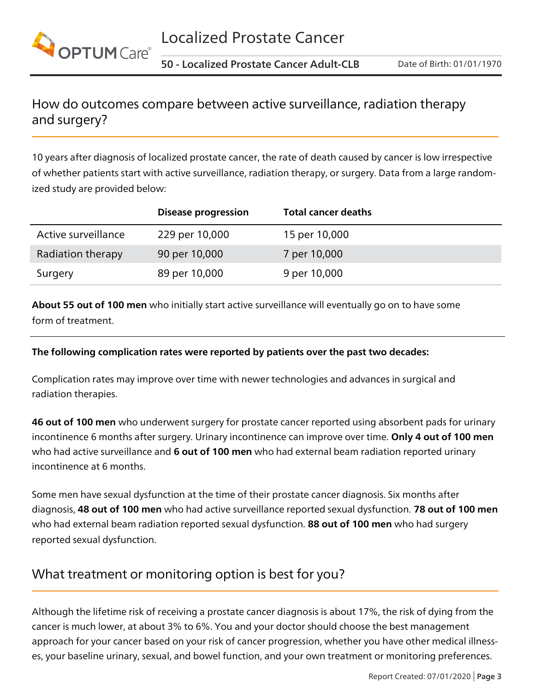

# How do outcomes compare between active surveillance, radiation therapy and surgery?

10 years after diagnosis of localized prostate cancer, the rate of death caused by cancer is low irrespective of whether patients start with active surveillance, radiation therapy, or surgery. Data from a large randomized study are provided below:

|                     | <b>Disease progression</b> | <b>Total cancer deaths</b> |
|---------------------|----------------------------|----------------------------|
| Active surveillance | 229 per 10,000             | 15 per 10,000              |
| Radiation therapy   | 90 per 10,000              | 7 per 10,000               |
| Surgery             | 89 per 10,000              | 9 per 10,000               |

About 55 out of 100 men who initially start active surveillance will eventually go on to have some form of treatment.

### The following complication rates were reported by patients over the past two decades:

Complication rates may improve over time with newer technologies and advances in surgical and radiation therapies.

46 out of 100 men who underwent surgery for prostate cancer reported using absorbent pads for urinary incontinence 6 months after surgery. Urinary incontinence can improve over time. Only 4 out of 100 men who had active surveillance and 6 out of 100 men who had external beam radiation reported urinary incontinence at 6 months.

Some men have sexual dysfunction at the time of their prostate cancer diagnosis. Six months after diagnosis, 48 out of 100 men who had active surveillance reported sexual dysfunction. 78 out of 100 men who had external beam radiation reported sexual dysfunction. 88 out of 100 men who had surgery reported sexual dysfunction.

# What treatment or monitoring option is best for you?

es, your baseline urinary, sexual, and bowel function, and your own treatment or monitoring preferences. Although the lifetime risk of receiving a prostate cancer diagnosis is about 17%, the risk of dying from the cancer is much lower, at about 3% to 6%. You and your doctor should choose the best management approach for your cancer based on your risk of cancer progression, whether you have other medical illness-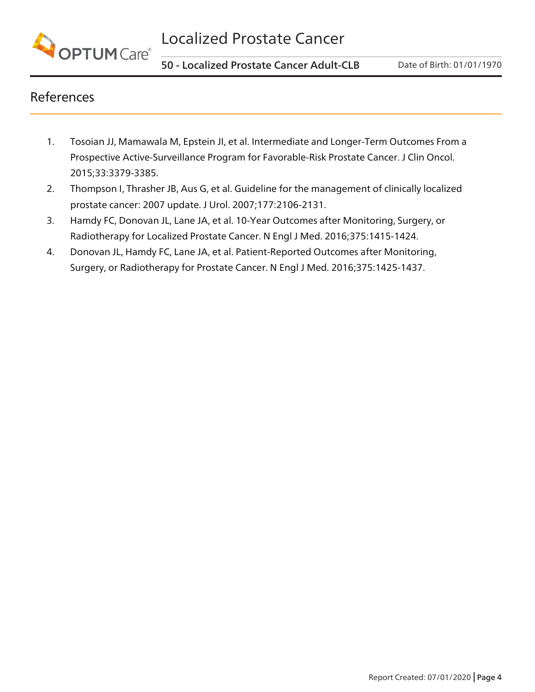

# References

- 1. Tosoian JJ, Mamawala M, Epstein JI, et al. Intermediate and Longer-Term Outcomes From a Prospective Active-Surveillance Program for Favorable-Risk Prostate Cancer. J Clin Oncol. 2015;33:3379-3385.
- 2. Thompson I, Thrasher JB, Aus G, et al. Guideline for the management of clinically localized prostate cancer: 2007 update. J Urol. 2007;177:2106-2131.
- 3. Hamdy FC, Donovan JL, Lane JA, et al. 10-Year Outcomes after Monitoring, Surgery, or Radiotherapy for Localized Prostate Cancer. N Engl J Med. 2016;375:1415-1424.
- 4. Donovan JL, Hamdy FC, Lane JA, et al. Patient-Reported Outcomes after Monitoring, Surgery, or Radiotherapy for Prostate Cancer. N Engl J Med. 2016;375:1425-1437.